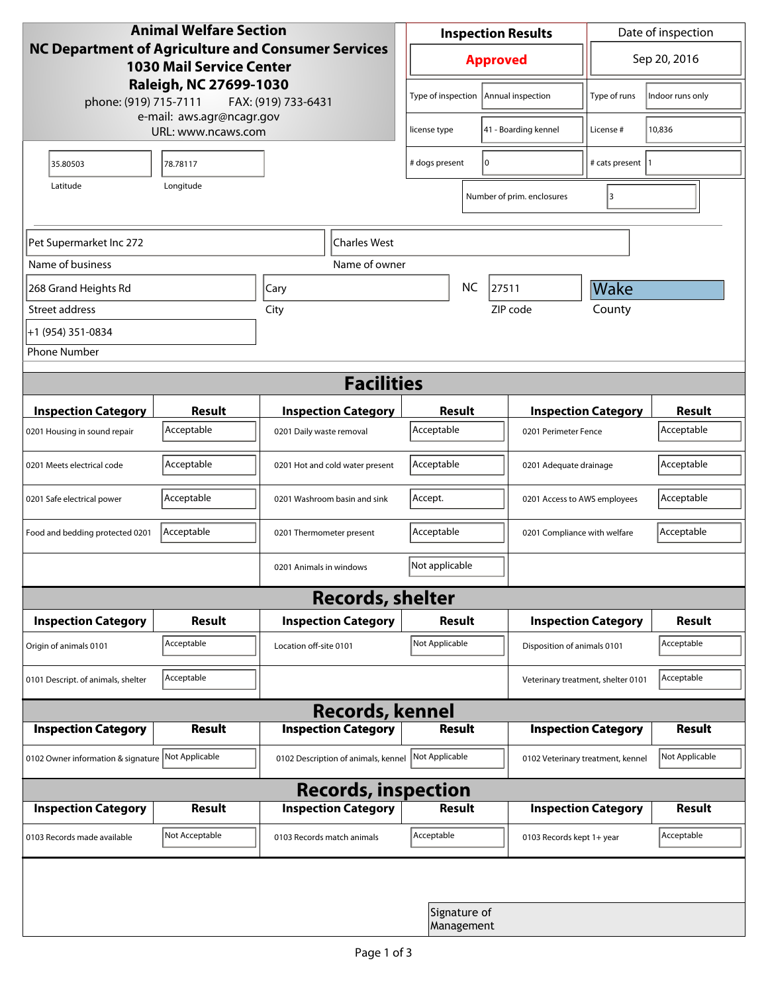| <b>Animal Welfare Section</b><br>NC Department of Agriculture and Consumer Services<br><b>1030 Mail Service Center</b><br>Raleigh, NC 27699-1030<br>phone: (919) 715-7111<br>FAX: (919) 733-6431 |                |                                     | <b>Inspection Results</b>                  |           |                                    | Date of inspection         |                  |  |
|--------------------------------------------------------------------------------------------------------------------------------------------------------------------------------------------------|----------------|-------------------------------------|--------------------------------------------|-----------|------------------------------------|----------------------------|------------------|--|
|                                                                                                                                                                                                  |                |                                     | <b>Approved</b>                            |           |                                    | Sep 20, 2016               |                  |  |
|                                                                                                                                                                                                  |                |                                     | Type of inspection                         |           | Annual inspection                  | Type of runs               | Indoor runs only |  |
| e-mail: aws.agr@ncagr.gov<br>URL: www.ncaws.com                                                                                                                                                  |                |                                     | 41 - Boarding kennel<br>license type       |           | License #                          | 10,836                     |                  |  |
| 35.80503                                                                                                                                                                                         | 78.78117       |                                     | # dogs present                             | I٥        |                                    | # cats present  1          |                  |  |
| Latitude                                                                                                                                                                                         | Longitude      |                                     |                                            |           | Number of prim. enclosures         | 3                          |                  |  |
| <b>Charles West</b><br>Pet Supermarket Inc 272                                                                                                                                                   |                |                                     |                                            |           |                                    |                            |                  |  |
| Name of business                                                                                                                                                                                 |                | Name of owner                       |                                            |           |                                    |                            |                  |  |
| 268 Grand Heights Rd                                                                                                                                                                             |                | Cary                                |                                            | <b>NC</b> | 27511                              | Wake                       |                  |  |
| Street address                                                                                                                                                                                   |                | City                                |                                            |           | ZIP code                           | County                     |                  |  |
| +1 (954) 351-0834                                                                                                                                                                                |                |                                     |                                            |           |                                    |                            |                  |  |
| <b>Phone Number</b>                                                                                                                                                                              |                |                                     |                                            |           |                                    |                            |                  |  |
| <b>Facilities</b>                                                                                                                                                                                |                |                                     |                                            |           |                                    |                            |                  |  |
| <b>Inspection Category</b>                                                                                                                                                                       | Result         | <b>Inspection Category</b>          | Result                                     |           | <b>Inspection Category</b>         |                            | <b>Result</b>    |  |
| 0201 Housing in sound repair                                                                                                                                                                     | Acceptable     | 0201 Daily waste removal            | Acceptable                                 |           | 0201 Perimeter Fence               |                            | Acceptable       |  |
| 0201 Meets electrical code                                                                                                                                                                       | Acceptable     | 0201 Hot and cold water present     | Acceptable                                 |           | 0201 Adequate drainage             |                            | Acceptable       |  |
| 0201 Safe electrical power                                                                                                                                                                       | Acceptable     | 0201 Washroom basin and sink        | Accept.<br>0201 Access to AWS employees    |           |                                    | Acceptable                 |                  |  |
| Food and bedding protected 0201                                                                                                                                                                  | Acceptable     | 0201 Thermometer present            | Acceptable<br>0201 Compliance with welfare |           |                                    | Acceptable                 |                  |  |
|                                                                                                                                                                                                  |                | 0201 Animals in windows             | Not applicable                             |           |                                    |                            |                  |  |
| <b>Records, shelter</b>                                                                                                                                                                          |                |                                     |                                            |           |                                    |                            |                  |  |
| <b>Inspection Category</b>                                                                                                                                                                       | Result         | <b>Inspection Category</b>          | Result                                     |           |                                    | <b>Inspection Category</b> | <b>Result</b>    |  |
| Origin of animals 0101                                                                                                                                                                           | Acceptable     | Location off-site 0101              | Not Applicable                             |           | Disposition of animals 0101        |                            | Acceptable       |  |
| 0101 Descript. of animals, shelter                                                                                                                                                               | Acceptable     |                                     |                                            |           | Veterinary treatment, shelter 0101 |                            | Acceptable       |  |
|                                                                                                                                                                                                  |                | <b>Records, kennel</b>              |                                            |           |                                    |                            |                  |  |
| <b>Inspection Category</b>                                                                                                                                                                       | Result         | <b>Inspection Category</b>          | <b>Result</b>                              |           |                                    | <b>Inspection Category</b> | <b>Result</b>    |  |
| 0102 Owner information & signature                                                                                                                                                               | Not Applicable | 0102 Description of animals, kennel | Not Applicable                             |           | 0102 Veterinary treatment, kennel  |                            | Not Applicable   |  |
| <b>Records, inspection</b>                                                                                                                                                                       |                |                                     |                                            |           |                                    |                            |                  |  |
| <b>Inspection Category</b>                                                                                                                                                                       | Result         | <b>Inspection Category</b>          | Result                                     |           |                                    | <b>Inspection Category</b> | <b>Result</b>    |  |
| 0103 Records made available                                                                                                                                                                      | Not Acceptable | 0103 Records match animals          | Acceptable                                 |           | 0103 Records kept 1+ year          |                            | Acceptable       |  |
|                                                                                                                                                                                                  |                |                                     |                                            |           |                                    |                            |                  |  |
| Signature of<br>Management                                                                                                                                                                       |                |                                     |                                            |           |                                    |                            |                  |  |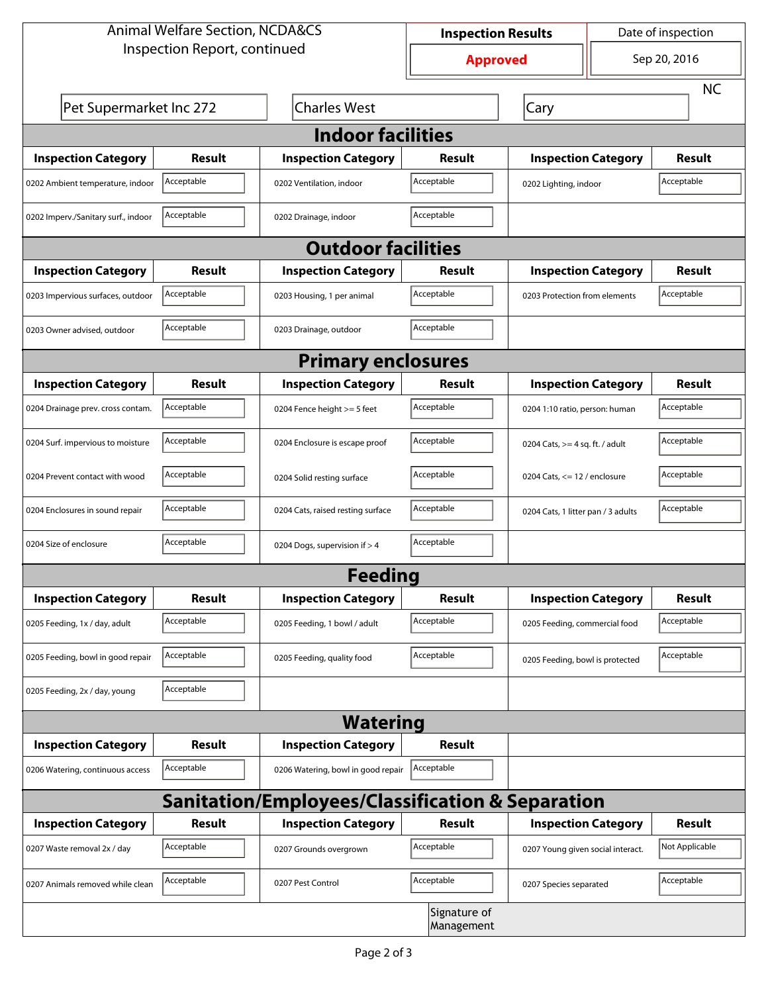| <b>Animal Welfare Section, NCDA&amp;CS</b> |               |                                                             | <b>Inspection Results</b>  |                                     | Date of inspection |                |  |  |
|--------------------------------------------|---------------|-------------------------------------------------------------|----------------------------|-------------------------------------|--------------------|----------------|--|--|
| Inspection Report, continued               |               |                                                             | <b>Approved</b>            |                                     | Sep 20, 2016       |                |  |  |
|                                            |               |                                                             |                            |                                     |                    | <b>NC</b>      |  |  |
| Pet Supermarket Inc 272                    |               | <b>Charles West</b>                                         |                            | Cary                                |                    |                |  |  |
| <b>Indoor facilities</b>                   |               |                                                             |                            |                                     |                    |                |  |  |
| <b>Inspection Category</b>                 | Result        | <b>Inspection Category</b>                                  | Result                     | <b>Inspection Category</b>          |                    | Result         |  |  |
| 0202 Ambient temperature, indoor           | Acceptable    | 0202 Ventilation, indoor                                    | Acceptable                 | Acceptable<br>0202 Lighting, indoor |                    |                |  |  |
| 0202 Imperv./Sanitary surf., indoor        | Acceptable    | 0202 Drainage, indoor                                       | Acceptable                 |                                     |                    |                |  |  |
| <b>Outdoor facilities</b>                  |               |                                                             |                            |                                     |                    |                |  |  |
| <b>Inspection Category</b>                 | Result        | <b>Inspection Category</b>                                  | Result                     | <b>Inspection Category</b>          |                    | Result         |  |  |
| 0203 Impervious surfaces, outdoor          | Acceptable    | 0203 Housing, 1 per animal                                  | Acceptable                 | 0203 Protection from elements       |                    | Acceptable     |  |  |
| 0203 Owner advised, outdoor                | Acceptable    | 0203 Drainage, outdoor                                      | Acceptable                 |                                     |                    |                |  |  |
| <b>Primary enclosures</b>                  |               |                                                             |                            |                                     |                    |                |  |  |
| <b>Inspection Category</b>                 | Result        | <b>Inspection Category</b>                                  | Result                     | <b>Inspection Category</b>          |                    | Result         |  |  |
| 0204 Drainage prev. cross contam.          | Acceptable    | 0204 Fence height >= 5 feet                                 | Acceptable                 | 0204 1:10 ratio, person: human      |                    | Acceptable     |  |  |
| 0204 Surf. impervious to moisture          | Acceptable    | 0204 Enclosure is escape proof                              | Acceptable                 | 0204 Cats, $>=$ 4 sq. ft. / adult   |                    | Acceptable     |  |  |
| 0204 Prevent contact with wood             | Acceptable    | 0204 Solid resting surface                                  | Acceptable                 | 0204 Cats, $<= 12$ / enclosure      |                    | Acceptable     |  |  |
| 0204 Enclosures in sound repair            | Acceptable    | 0204 Cats, raised resting surface                           | Acceptable                 | 0204 Cats, 1 litter pan / 3 adults  |                    | Acceptable     |  |  |
| 0204 Size of enclosure                     | Acceptable    | 0204 Dogs, supervision if > 4                               | Acceptable                 |                                     |                    |                |  |  |
|                                            |               | <b>Feeding</b>                                              |                            |                                     |                    |                |  |  |
| <b>Inspection Category</b>                 | <b>Result</b> | <b>Inspection Category</b>                                  | Result                     | <b>Inspection Category</b>          |                    | <b>Result</b>  |  |  |
| 0205 Feeding, 1x / day, adult              | Acceptable    | 0205 Feeding, 1 bowl / adult                                | Acceptable                 | 0205 Feeding, commercial food       |                    | Acceptable     |  |  |
| 0205 Feeding, bowl in good repair          | Acceptable    | 0205 Feeding, quality food                                  | Acceptable                 | 0205 Feeding, bowl is protected     |                    | Acceptable     |  |  |
| 0205 Feeding, 2x / day, young              | Acceptable    |                                                             |                            |                                     |                    |                |  |  |
|                                            |               | <b>Watering</b>                                             |                            |                                     |                    |                |  |  |
| <b>Inspection Category</b>                 | <b>Result</b> | <b>Inspection Category</b>                                  | Result                     |                                     |                    |                |  |  |
| 0206 Watering, continuous access           | Acceptable    | 0206 Watering, bowl in good repair                          | Acceptable                 |                                     |                    |                |  |  |
|                                            |               | <b>Sanitation/Employees/Classification &amp; Separation</b> |                            |                                     |                    |                |  |  |
| <b>Inspection Category</b>                 | <b>Result</b> | <b>Inspection Category</b>                                  | Result                     | <b>Inspection Category</b>          |                    | <b>Result</b>  |  |  |
| 0207 Waste removal 2x / day                | Acceptable    | 0207 Grounds overgrown                                      | Acceptable                 | 0207 Young given social interact.   |                    | Not Applicable |  |  |
| 0207 Animals removed while clean           | Acceptable    | 0207 Pest Control                                           | Acceptable                 | 0207 Species separated              |                    | Acceptable     |  |  |
|                                            |               |                                                             | Signature of<br>Management |                                     |                    |                |  |  |